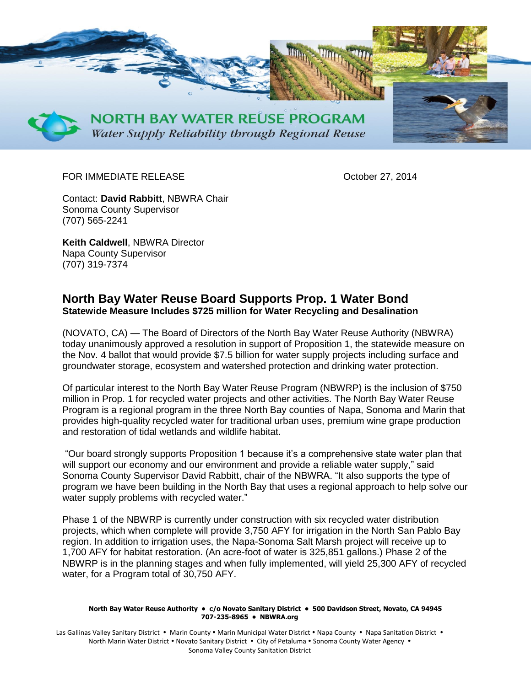

## FOR IMMEDIATE RELEASE CONTROLLER CONTROLLER CONTROLLER CONTROLLER CONTROLLER CONTROLLER CONTROLLER CONTROLLER

Contact: **David Rabbitt**, NBWRA Chair Sonoma County Supervisor (707) 565-2241

**Keith Caldwell**, NBWRA Director Napa County Supervisor (707) 319-7374

## **North Bay Water Reuse Board Supports Prop. 1 Water Bond Statewide Measure Includes \$725 million for Water Recycling and Desalination**

(NOVATO, CA) — The Board of Directors of the North Bay Water Reuse Authority (NBWRA) today unanimously approved a resolution in support of Proposition 1, the statewide measure on the Nov. 4 ballot that would provide \$7.5 billion for water supply projects including surface and groundwater storage, ecosystem and watershed protection and drinking water protection.

Of particular interest to the North Bay Water Reuse Program (NBWRP) is the inclusion of \$750 million in Prop. 1 for recycled water projects and other activities. The North Bay Water Reuse Program is a regional program in the three North Bay counties of Napa, Sonoma and Marin that provides high-quality recycled water for traditional urban uses, premium wine grape production and restoration of tidal wetlands and wildlife habitat.

"Our board strongly supports Proposition 1 because it's a comprehensive state water plan that will support our economy and our environment and provide a reliable water supply," said Sonoma County Supervisor David Rabbitt, chair of the NBWRA. "It also supports the type of program we have been building in the North Bay that uses a regional approach to help solve our water supply problems with recycled water."

Phase 1 of the NBWRP is currently under construction with six recycled water distribution projects, which when complete will provide 3,750 AFY for irrigation in the North San Pablo Bay region. In addition to irrigation uses, the Napa-Sonoma Salt Marsh project will receive up to 1,700 AFY for habitat restoration. (An acre-foot of water is 325,851 gallons.) Phase 2 of the NBWRP is in the planning stages and when fully implemented, will yield 25,300 AFY of recycled water, for a Program total of 30,750 AFY.

## **North Bay Water Reuse Authority • c/o Novato Sanitary District • 500 Davidson Street, Novato, CA 94945 707-235-8965 • NBWRA.org**

Las Gallinas Valley Sanitary District • Marin County • Marin Municipal Water District • Napa County • Napa Sanitation District • North Marin Water District • Novato Sanitary District • City of Petaluma • Sonoma County Water Agency • Sonoma Valley County Sanitation District